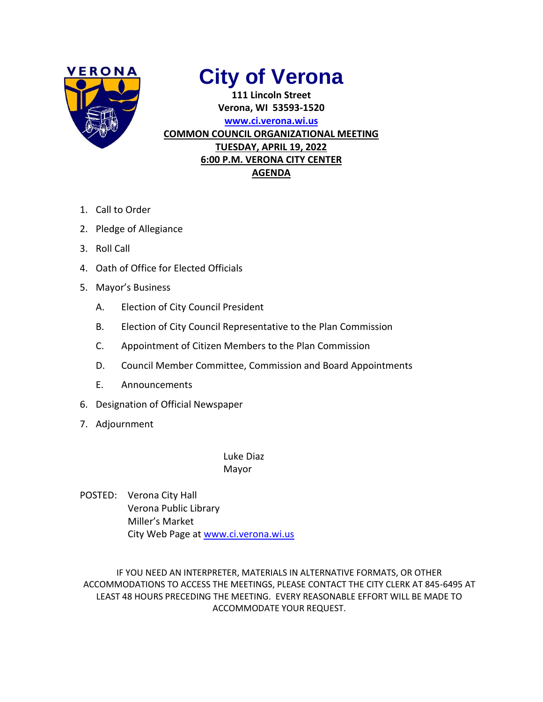

# **City of Verona**

**111 Lincoln Street Verona, WI 53593-1520 [www.ci.verona.wi.us](http://www.ci.verona.wi.us/) COMMON COUNCIL ORGANIZATIONAL MEETING TUESDAY, APRIL 19, 2022 6:00 P.M. VERONA CITY CENTER AGENDA**

- 1. Call to Order
- 2. Pledge of Allegiance
- 3. Roll Call
- 4. Oath of Office for Elected Officials
- 5. Mayor's Business
	- A. Election of City Council President
	- B. Election of City Council Representative to the Plan Commission
	- C. Appointment of Citizen Members to the Plan Commission
	- D. Council Member Committee, Commission and Board Appointments
	- E. Announcements
- 6. Designation of Official Newspaper
- 7. Adjournment

Luke Diaz Mayor

POSTED: Verona City Hall Verona Public Library Miller's Market City Web Page a[t www.ci.verona.wi.us](http://www.ci.verona.wi.us/)

IF YOU NEED AN INTERPRETER, MATERIALS IN ALTERNATIVE FORMATS, OR OTHER ACCOMMODATIONS TO ACCESS THE MEETINGS, PLEASE CONTACT THE CITY CLERK AT 845-6495 AT LEAST 48 HOURS PRECEDING THE MEETING. EVERY REASONABLE EFFORT WILL BE MADE TO ACCOMMODATE YOUR REQUEST.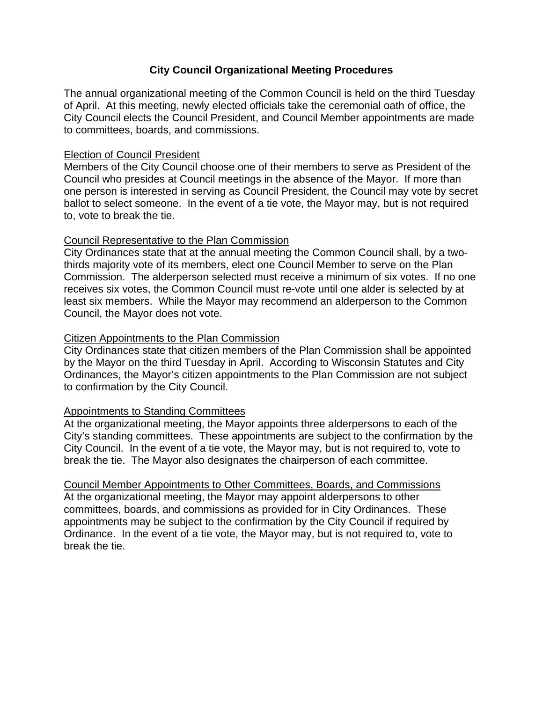# **City Council Organizational Meeting Procedures**

The annual organizational meeting of the Common Council is held on the third Tuesday of April. At this meeting, newly elected officials take the ceremonial oath of office, the City Council elects the Council President, and Council Member appointments are made to committees, boards, and commissions.

# Election of Council President

Members of the City Council choose one of their members to serve as President of the Council who presides at Council meetings in the absence of the Mayor. If more than one person is interested in serving as Council President, the Council may vote by secret ballot to select someone. In the event of a tie vote, the Mayor may, but is not required to, vote to break the tie.

# Council Representative to the Plan Commission

City Ordinances state that at the annual meeting the Common Council shall, by a twothirds majority vote of its members, elect one Council Member to serve on the Plan Commission. The alderperson selected must receive a minimum of six votes. If no one receives six votes, the Common Council must re-vote until one alder is selected by at least six members. While the Mayor may recommend an alderperson to the Common Council, the Mayor does not vote.

# Citizen Appointments to the Plan Commission

City Ordinances state that citizen members of the Plan Commission shall be appointed by the Mayor on the third Tuesday in April. According to Wisconsin Statutes and City Ordinances, the Mayor's citizen appointments to the Plan Commission are not subject to confirmation by the City Council.

# Appointments to Standing Committees

At the organizational meeting, the Mayor appoints three alderpersons to each of the City's standing committees. These appointments are subject to the confirmation by the City Council. In the event of a tie vote, the Mayor may, but is not required to, vote to break the tie. The Mayor also designates the chairperson of each committee.

Council Member Appointments to Other Committees, Boards, and Commissions At the organizational meeting, the Mayor may appoint alderpersons to other committees, boards, and commissions as provided for in City Ordinances. These appointments may be subject to the confirmation by the City Council if required by Ordinance. In the event of a tie vote, the Mayor may, but is not required to, vote to break the tie.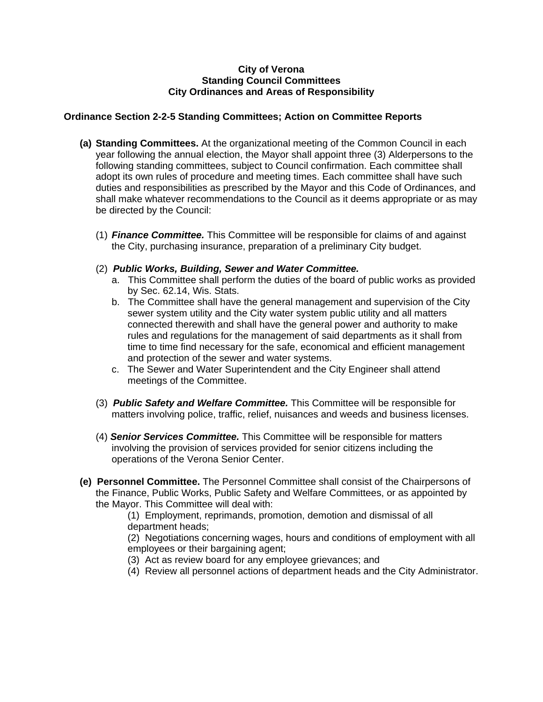#### **City of Verona Standing Council Committees City Ordinances and Areas of Responsibility**

## **Ordinance Section 2-2-5 Standing Committees; Action on Committee Reports**

- **(a) Standing Committees.** At the organizational meeting of the Common Council in each year following the annual election, the Mayor shall appoint three (3) Alderpersons to the following standing committees, subject to Council confirmation. Each committee shall adopt its own rules of procedure and meeting times. Each committee shall have such duties and responsibilities as prescribed by the Mayor and this Code of Ordinances, and shall make whatever recommendations to the Council as it deems appropriate or as may be directed by the Council:
	- (1) *Finance Committee.* This Committee will be responsible for claims of and against the City, purchasing insurance, preparation of a preliminary City budget.
	- (2) *Public Works, Building, Sewer and Water Committee.*
		- a. This Committee shall perform the duties of the board of public works as provided by Sec. 62.14, Wis. Stats.
		- b. The Committee shall have the general management and supervision of the City sewer system utility and the City water system public utility and all matters connected therewith and shall have the general power and authority to make rules and regulations for the management of said departments as it shall from time to time find necessary for the safe, economical and efficient management and protection of the sewer and water systems.
		- c. The Sewer and Water Superintendent and the City Engineer shall attend meetings of the Committee.
	- (3) *Public Safety and Welfare Committee.* This Committee will be responsible for matters involving police, traffic, relief, nuisances and weeds and business licenses.
	- (4) *Senior Services Committee.* This Committee will be responsible for matters involving the provision of services provided for senior citizens including the operations of the Verona Senior Center.
- **(e) Personnel Committee.** The Personnel Committee shall consist of the Chairpersons of the Finance, Public Works, Public Safety and Welfare Committees, or as appointed by the Mayor. This Committee will deal with:

(1) Employment, reprimands, promotion, demotion and dismissal of all department heads;

(2) Negotiations concerning wages, hours and conditions of employment with all employees or their bargaining agent;

- (3) Act as review board for any employee grievances; and
- (4) Review all personnel actions of department heads and the City Administrator.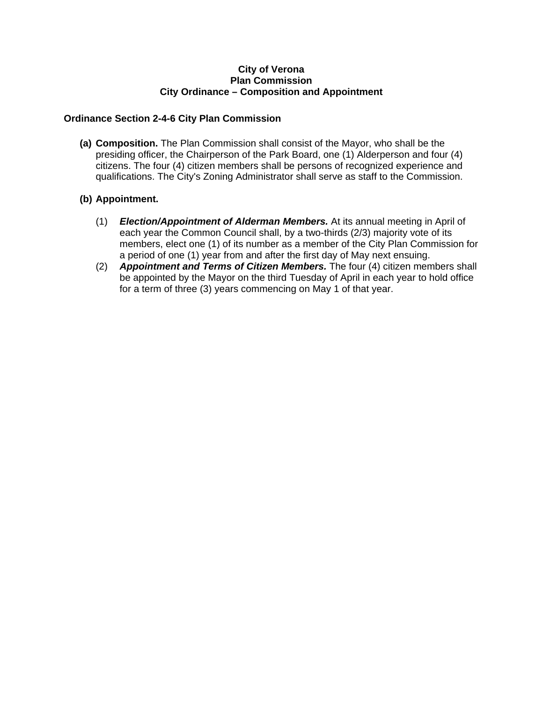#### **City of Verona Plan Commission City Ordinance – Composition and Appointment**

#### **Ordinance Section 2-4-6 City Plan Commission**

**(a) Composition.** The Plan Commission shall consist of the Mayor, who shall be the presiding officer, the Chairperson of the Park Board, one (1) Alderperson and four (4) citizens. The four (4) citizen members shall be persons of recognized experience and qualifications. The City's Zoning Administrator shall serve as staff to the Commission.

## **(b) Appointment.**

- (1) *Election/Appointment of Alderman Members.* At its annual meeting in April of each year the Common Council shall, by a two-thirds (2/3) majority vote of its members, elect one (1) of its number as a member of the City Plan Commission for a period of one (1) year from and after the first day of May next ensuing.
- (2) *Appointment and Terms of Citizen Members.* The four (4) citizen members shall be appointed by the Mayor on the third Tuesday of April in each year to hold office for a term of three (3) years commencing on May 1 of that year.